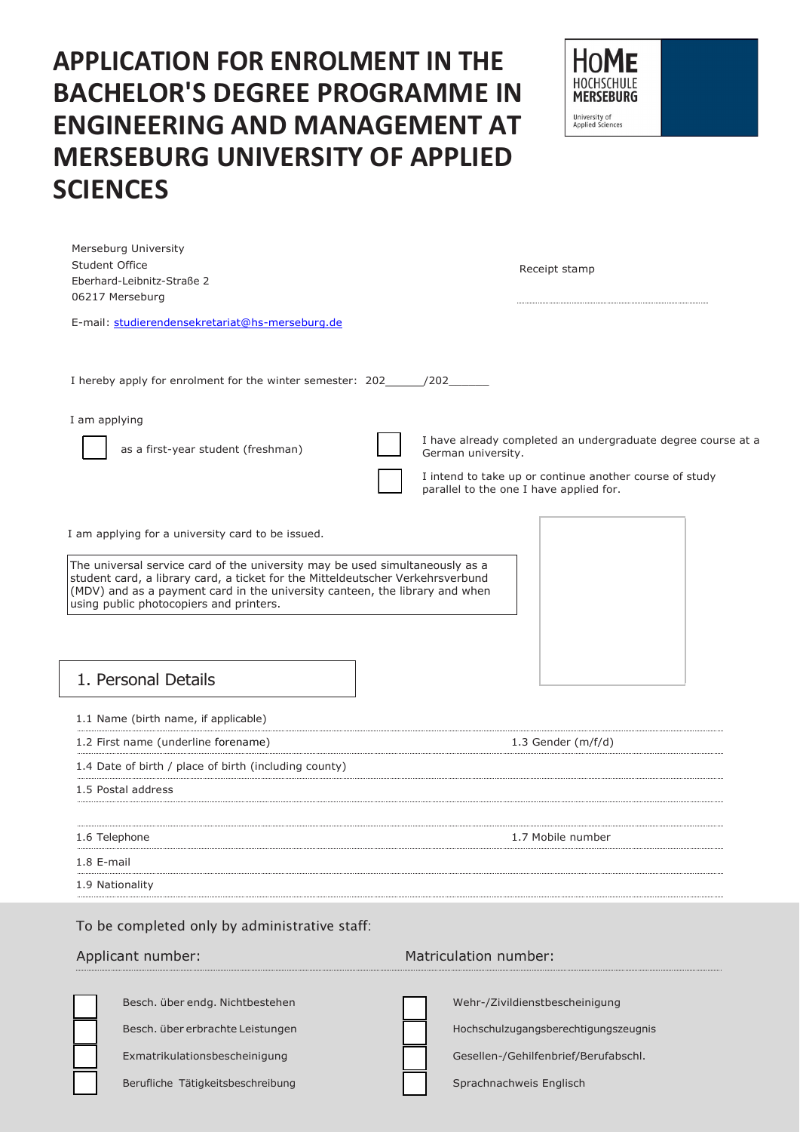# **APPLICATION FOR ENROLMENT IN THE BACHELOR'S DEGREE PROGRAMME IN ENGINEERING AND MANAGEMENT AT MERSEBURG UNIVERSITY OF APPLIED SCIENCES**

| ΩM<br>HOCHSCHULE<br><b>MERSEBURG</b>     |  |
|------------------------------------------|--|
| University of<br><b>Applied Sciences</b> |  |

| 1. Personal Details<br>1.1 Name (birth name, if applicable)<br>1.2 First name (underline forename)<br>1.4 Date of birth / place of birth (including county)<br>1.5 Postal address<br>1.6 Telephone<br>1.8 E-mail<br>1.9 Nationality<br>To be completed only by administrative staff:                                                          | 1.3 Gender $(m/f/d)$<br>1.7 Mobile number                                                          |
|-----------------------------------------------------------------------------------------------------------------------------------------------------------------------------------------------------------------------------------------------------------------------------------------------------------------------------------------------|----------------------------------------------------------------------------------------------------|
|                                                                                                                                                                                                                                                                                                                                               |                                                                                                    |
|                                                                                                                                                                                                                                                                                                                                               |                                                                                                    |
|                                                                                                                                                                                                                                                                                                                                               |                                                                                                    |
|                                                                                                                                                                                                                                                                                                                                               |                                                                                                    |
|                                                                                                                                                                                                                                                                                                                                               |                                                                                                    |
|                                                                                                                                                                                                                                                                                                                                               |                                                                                                    |
|                                                                                                                                                                                                                                                                                                                                               |                                                                                                    |
|                                                                                                                                                                                                                                                                                                                                               |                                                                                                    |
|                                                                                                                                                                                                                                                                                                                                               |                                                                                                    |
|                                                                                                                                                                                                                                                                                                                                               |                                                                                                    |
| I am applying for a university card to be issued.<br>The universal service card of the university may be used simultaneously as a<br>student card, a library card, a ticket for the Mitteldeutscher Verkehrsverbund<br>(MDV) and as a payment card in the university canteen, the library and when<br>using public photocopiers and printers. |                                                                                                    |
|                                                                                                                                                                                                                                                                                                                                               | I intend to take up or continue another course of study<br>parallel to the one I have applied for. |
| I am applying<br>as a first-year student (freshman)                                                                                                                                                                                                                                                                                           | I have already completed an undergraduate degree course at a<br>German university.                 |
| I hereby apply for enrolment for the winter semester: 202________________________                                                                                                                                                                                                                                                             |                                                                                                    |
|                                                                                                                                                                                                                                                                                                                                               |                                                                                                    |
| E-mail: studierendensekretariat@hs-merseburg.de                                                                                                                                                                                                                                                                                               |                                                                                                    |
| 06217 Merseburg                                                                                                                                                                                                                                                                                                                               |                                                                                                    |
| Student Office<br>Eberhard-Leibnitz-Straße 2                                                                                                                                                                                                                                                                                                  | Receipt stamp                                                                                      |

Besch. über endg. Nichtbestehen Besch. über erbrachte Leistungen Exmatrikulationsbescheinigung

Berufliche Tätigkeitsbeschreibung

Wehr-/Zivildienstbescheinigung Hochschulzugangsberechtigungszeugnis Gesellen-/Gehilfenbrief/Berufabschl. Sprachnachweis Englisch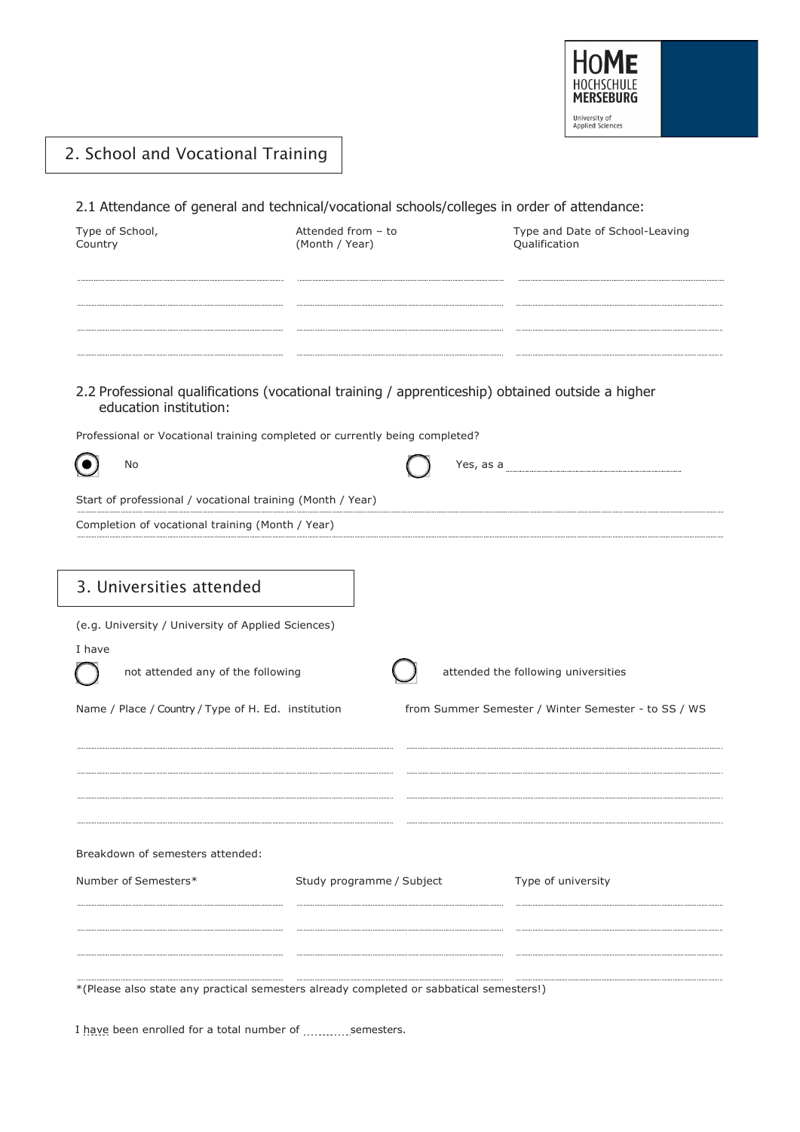

 $\mathcal{L}$ 

# 2. School and Vocational Training

2.1 Attendance of general and technical/vocational schools/colleges in order of attendance:

| Type of School,<br>Country                                                                                                                                                                                | Attended from - to<br>(Month / Year) | Type and Date of School-Leaving<br>Qualification                                           |
|-----------------------------------------------------------------------------------------------------------------------------------------------------------------------------------------------------------|--------------------------------------|--------------------------------------------------------------------------------------------|
| 2.2 Professional qualifications (vocational training / apprenticeship) obtained outside a higher<br>education institution:<br>Professional or Vocational training completed or currently being completed? |                                      |                                                                                            |
| No                                                                                                                                                                                                        |                                      | Yes, as a                                                                                  |
| Start of professional / vocational training (Month / Year)                                                                                                                                                |                                      |                                                                                            |
| Completion of vocational training (Month / Year)                                                                                                                                                          |                                      |                                                                                            |
| 3. Universities attended<br>(e.g. University / University of Applied Sciences)<br>I have<br>not attended any of the following<br>Name / Place / Country / Type of H. Ed. institution                      |                                      | attended the following universities<br>from Summer Semester / Winter Semester - to SS / WS |
| Breakdown of semesters attended:<br>Number of Semesters*                                                                                                                                                  | Study programme / Subject            | Type of university                                                                         |

\*(Please also state any practical semesters already completed or sabbatical semesters!)

I have been enrolled for a total number of ............ semesters.

 $\bar{z}$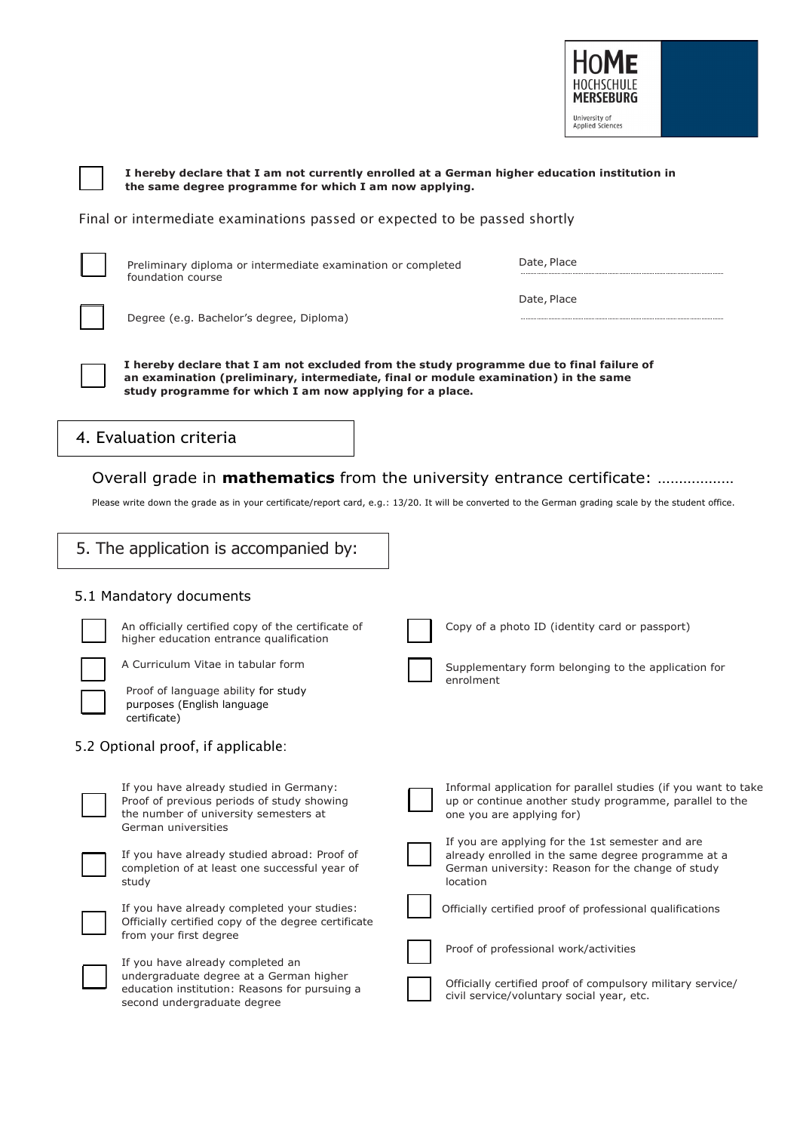

**I hereby declare that I am not currently enrolled at a German higher education institution in the same degree programme for which I am now applying.**

Final or intermediate examinations passed or expected to be passed shortly



Preliminary diploma or intermediate examination or completed foundation course

Date, Place

Degree (e.g. Bachelor's degree, Diploma)

**I hereby declare that I am not excluded from the study programme due to final failure of an examination (preliminary, intermediate, final or module examination) in the same study programme for which I am now applying for a place.**

# 4. Evaluation criteria

### Overall grade in **mathematics** from the university entrance certificate: ………………

Please write down the grade as in your certificate/report card, e.g.: 13/20. It will be converted to the German grading scale by the student office.

#### 5.1 Mandatory documents An officially certified copy of the certificate of higher education entrance qualification A Curriculum Vitae in tabular form Proof of language ability for study purposes (English language certificate) 5.2 Optional proof, if applicable: If you have already studied in Germany: Proof of previous periods of study showing the number of university semesters at German universities If you have already studied abroad: Proof of completion of at least one successful year of study If you have already completed your studies: Officially certified copy of the degree certificate from your first degree If you have already completed an undergraduate degree at a German higher education institution: Reasons for pursuing a second undergraduate degree Copy of a photo ID (identity card or passport) Supplementary form belonging to the application for enrolment Informal application for parallel studies (if you want to take up or continue another study programme, parallel to the one you are applying for) If you are applying for the 1st semester and are already enrolled in the same degree programme at a German university: Reason for the change of study location Officially certified proof of professional qualifications Proof of professional work/activities Officially certified proof of compulsory military service/ civil service/voluntary social year, etc. 5. The application is accompanied by: